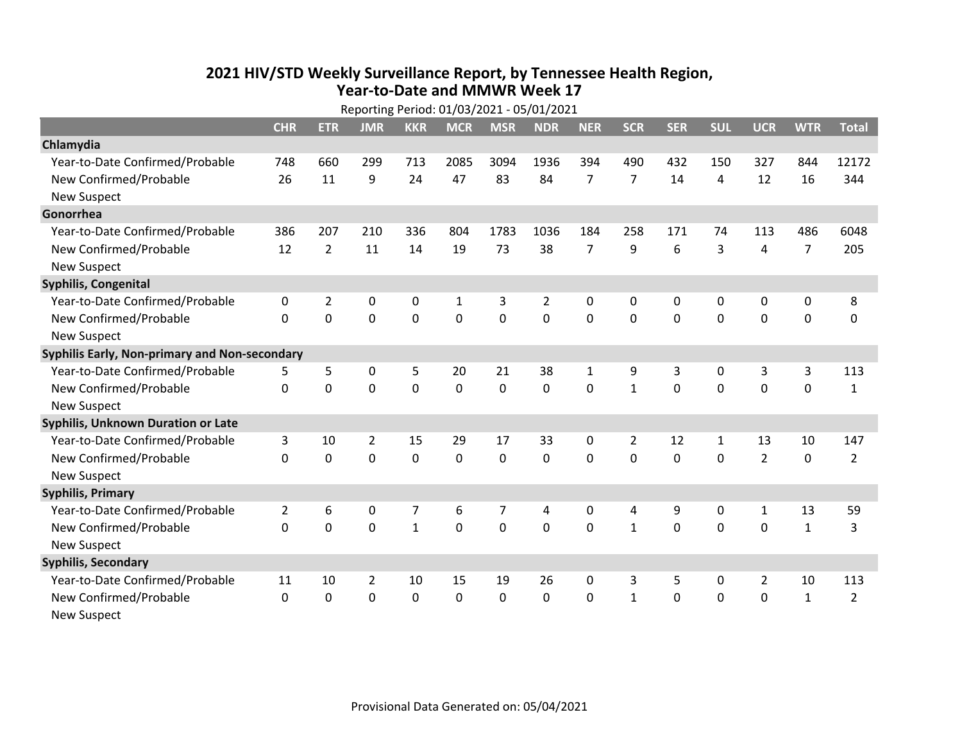## **2021 HIV /STD Weekly Surveillance Report, by Tennessee Health Region, Year‐to‐Date and MMWR Week 17** Reporting Period: 01/03/2021 ‐ 05/01/2021

| Reporting Period: 01/03/2021 - 05/01/2021     |                |                |                |                |             |             |            |                |                |            |              |                |                |                |
|-----------------------------------------------|----------------|----------------|----------------|----------------|-------------|-------------|------------|----------------|----------------|------------|--------------|----------------|----------------|----------------|
|                                               | <b>CHR</b>     | <b>ETR</b>     | <b>JMR</b>     | <b>KKR</b>     | <b>MCR</b>  | <b>MSR</b>  | <b>NDR</b> | <b>NER</b>     | <b>SCR</b>     | <b>SER</b> | <b>SUL</b>   | <b>UCR</b>     | <b>WTR</b>     | <b>Total</b>   |
| Chlamydia                                     |                |                |                |                |             |             |            |                |                |            |              |                |                |                |
| Year-to-Date Confirmed/Probable               | 748            | 660            | 299            | 713            | 2085        | 3094        | 1936       | 394            | 490            | 432        | 150          | 327            | 844            | 12172          |
| New Confirmed/Probable                        | 26             | 11             | 9              | 24             | 47          | 83          | 84         | $\overline{7}$ | $\overline{7}$ | 14         | 4            | 12             | 16             | 344            |
| <b>New Suspect</b>                            |                |                |                |                |             |             |            |                |                |            |              |                |                |                |
| Gonorrhea                                     |                |                |                |                |             |             |            |                |                |            |              |                |                |                |
| Year-to-Date Confirmed/Probable               | 386            | 207            | 210            | 336            | 804         | 1783        | 1036       | 184            | 258            | 171        | 74           | 113            | 486            | 6048           |
| New Confirmed/Probable                        | 12             | $\overline{2}$ | 11             | 14             | 19          | 73          | 38         | $\overline{7}$ | 9              | 6          | 3            | 4              | $\overline{7}$ | 205            |
| <b>New Suspect</b>                            |                |                |                |                |             |             |            |                |                |            |              |                |                |                |
| <b>Syphilis, Congenital</b>                   |                |                |                |                |             |             |            |                |                |            |              |                |                |                |
| Year-to-Date Confirmed/Probable               | 0              | $\overline{2}$ | $\mathbf 0$    | 0              | 1           | 3           | 2          | 0              | 0              | 0          | 0            | 0              | 0              | 8              |
| New Confirmed/Probable                        | $\mathbf{0}$   | $\mathbf 0$    | $\mathbf 0$    | $\overline{0}$ | $\mathbf 0$ | $\mathbf 0$ | 0          | $\mathbf 0$    | 0              | 0          | $\mathbf 0$  | $\mathbf 0$    | $\mathbf 0$    | 0              |
| <b>New Suspect</b>                            |                |                |                |                |             |             |            |                |                |            |              |                |                |                |
| Syphilis Early, Non-primary and Non-secondary |                |                |                |                |             |             |            |                |                |            |              |                |                |                |
| Year-to-Date Confirmed/Probable               | 5              | 5              | $\mathbf 0$    | 5              | 20          | 21          | 38         | $\mathbf{1}$   | 9              | 3          | 0            | 3              | 3              | 113            |
| New Confirmed/Probable                        | $\Omega$       | 0              | 0              | 0              | $\mathbf 0$ | 0           | $\Omega$   | $\Omega$       | $\mathbf{1}$   | $\Omega$   | $\Omega$     | $\mathbf 0$    | $\mathbf 0$    | $\mathbf{1}$   |
| <b>New Suspect</b>                            |                |                |                |                |             |             |            |                |                |            |              |                |                |                |
| Syphilis, Unknown Duration or Late            |                |                |                |                |             |             |            |                |                |            |              |                |                |                |
| Year-to-Date Confirmed/Probable               | 3              | 10             | $\overline{2}$ | 15             | 29          | 17          | 33         | $\mathbf{0}$   | $\overline{2}$ | 12         | $\mathbf{1}$ | 13             | 10             | 147            |
| New Confirmed/Probable                        | $\Omega$       | 0              | 0              | 0              | $\mathbf 0$ | 0           | 0          | $\Omega$       | $\Omega$       | $\Omega$   | $\Omega$     | $\overline{2}$ | $\mathbf 0$    | $\overline{2}$ |
| <b>New Suspect</b>                            |                |                |                |                |             |             |            |                |                |            |              |                |                |                |
| <b>Syphilis, Primary</b>                      |                |                |                |                |             |             |            |                |                |            |              |                |                |                |
| Year-to-Date Confirmed/Probable               | $\overline{2}$ | 6              | 0              | 7              | 6           | 7           | 4          | 0              | 4              | 9          | 0            | $\mathbf{1}$   | 13             | 59             |
| New Confirmed/Probable                        | 0              | 0              | $\mathbf 0$    | $\mathbf{1}$   | $\mathbf 0$ | $\mathbf 0$ | 0          | $\Omega$       | $\mathbf{1}$   | 0          | 0            | 0              | $\mathbf{1}$   | 3              |
| <b>New Suspect</b>                            |                |                |                |                |             |             |            |                |                |            |              |                |                |                |
| <b>Syphilis, Secondary</b>                    |                |                |                |                |             |             |            |                |                |            |              |                |                |                |
| Year-to-Date Confirmed/Probable               | 11             | 10             | $\overline{2}$ | 10             | 15          | 19          | 26         | $\Omega$       | 3              | 5          | 0            | $\overline{2}$ | 10             | 113            |
| New Confirmed/Probable                        | $\Omega$       | 0              | 0              | 0              | $\mathbf 0$ | $\mathbf 0$ | $\Omega$   | $\Omega$       | $\mathbf{1}$   | 0          | 0            | $\mathbf 0$    | $\mathbf{1}$   | $\overline{2}$ |
| <b>New Suspect</b>                            |                |                |                |                |             |             |            |                |                |            |              |                |                |                |